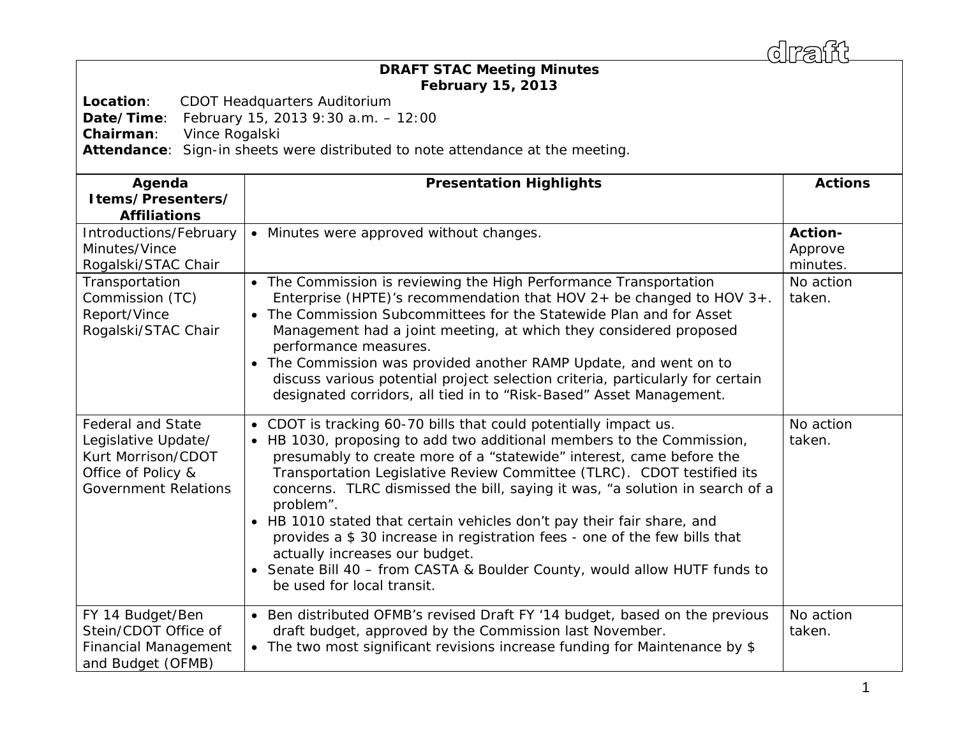draff

## *DRAFT* **STAC Meeting Minutes February 15, 2013**

**Location**: CDOT Headquarters Auditorium

**Date/Time**: February 15, 2013 9:30 a.m. – 12:00

**Chairman**: Vince Rogalski

**Attendance**: Sign-in sheets were distributed to note attendance at the meeting.

| Agenda<br>Items/Presenters/<br><b>Affiliations</b>                                                                         | <b>Presentation Highlights</b>                                                                                                                                                                                                                                                                                                                                                                                                                                                                                                                                                                                                                                                                          | <b>Actions</b>                 |
|----------------------------------------------------------------------------------------------------------------------------|---------------------------------------------------------------------------------------------------------------------------------------------------------------------------------------------------------------------------------------------------------------------------------------------------------------------------------------------------------------------------------------------------------------------------------------------------------------------------------------------------------------------------------------------------------------------------------------------------------------------------------------------------------------------------------------------------------|--------------------------------|
| Introductions/February<br>Minutes/Vince<br>Rogalski/STAC Chair                                                             | • Minutes were approved without changes.                                                                                                                                                                                                                                                                                                                                                                                                                                                                                                                                                                                                                                                                | Action-<br>Approve<br>minutes. |
| Transportation<br>Commission (TC)<br>Report/Vince<br>Rogalski/STAC Chair                                                   | • The Commission is reviewing the High Performance Transportation<br>Enterprise (HPTE)'s recommendation that HOV $2+$ be changed to HOV $3+.$<br>The Commission Subcommittees for the Statewide Plan and for Asset<br>$\bullet$<br>Management had a joint meeting, at which they considered proposed<br>performance measures.<br>The Commission was provided another RAMP Update, and went on to<br>$\bullet$<br>discuss various potential project selection criteria, particularly for certain<br>designated corridors, all tied in to "Risk-Based" Asset Management.                                                                                                                                  | No action<br>taken.            |
| <b>Federal and State</b><br>Legislative Update/<br>Kurt Morrison/CDOT<br>Office of Policy &<br><b>Government Relations</b> | • CDOT is tracking 60-70 bills that could potentially impact us.<br>• HB 1030, proposing to add two additional members to the Commission,<br>presumably to create more of a "statewide" interest, came before the<br>Transportation Legislative Review Committee (TLRC). CDOT testified its<br>concerns. TLRC dismissed the bill, saying it was, "a solution in search of a<br>problem".<br>• HB 1010 stated that certain vehicles don't pay their fair share, and<br>provides a \$30 increase in registration fees - one of the few bills that<br>actually increases our budget.<br>Senate Bill 40 - from CASTA & Boulder County, would allow HUTF funds to<br>$\bullet$<br>be used for local transit. | No action<br>taken.            |
| FY 14 Budget/Ben<br>Stein/CDOT Office of<br><b>Financial Management</b><br>and Budget (OFMB)                               | • Ben distributed OFMB's revised Draft FY '14 budget, based on the previous<br>draft budget, approved by the Commission last November.<br>• The two most significant revisions increase funding for Maintenance by \$                                                                                                                                                                                                                                                                                                                                                                                                                                                                                   | No action<br>taken.            |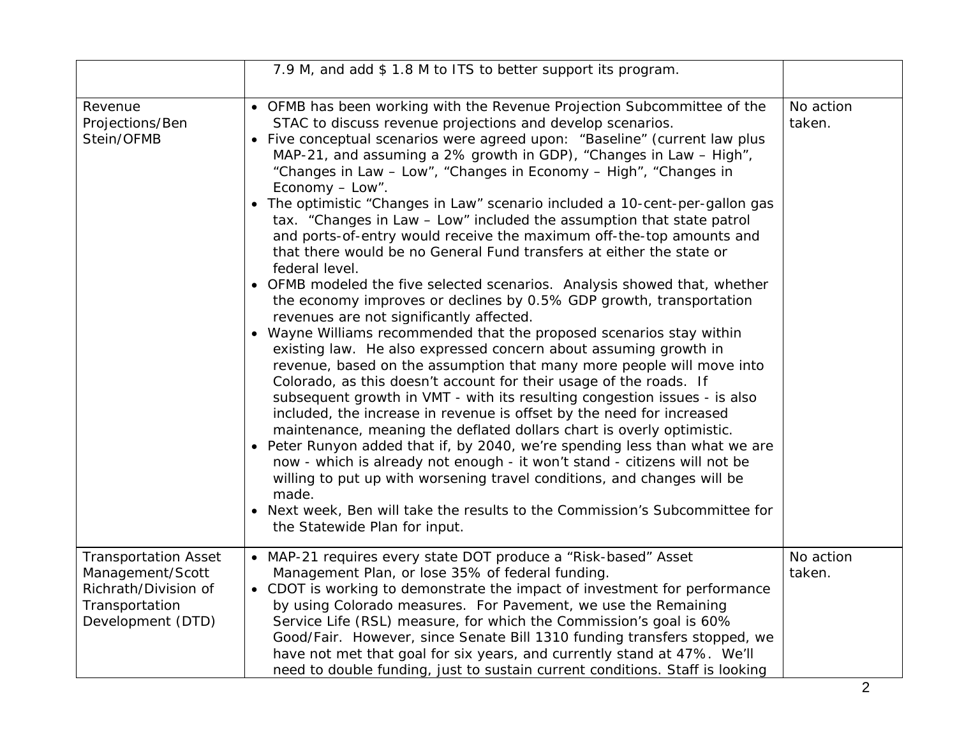|                                                                                                                | 7.9 M, and add \$1.8 M to ITS to better support its program.                                                                                                                                                                                                                                                                                                                                                                                                                                                                                                                                                                                                                                                                                                                                                                                                                                                                                                                                                                                                                                                                                                                                                                                                                                                                                                                                                                                                                                                                                                                                                                                                                                                                                                                                      |                     |
|----------------------------------------------------------------------------------------------------------------|---------------------------------------------------------------------------------------------------------------------------------------------------------------------------------------------------------------------------------------------------------------------------------------------------------------------------------------------------------------------------------------------------------------------------------------------------------------------------------------------------------------------------------------------------------------------------------------------------------------------------------------------------------------------------------------------------------------------------------------------------------------------------------------------------------------------------------------------------------------------------------------------------------------------------------------------------------------------------------------------------------------------------------------------------------------------------------------------------------------------------------------------------------------------------------------------------------------------------------------------------------------------------------------------------------------------------------------------------------------------------------------------------------------------------------------------------------------------------------------------------------------------------------------------------------------------------------------------------------------------------------------------------------------------------------------------------------------------------------------------------------------------------------------------------|---------------------|
| Revenue<br>Projections/Ben<br>Stein/OFMB                                                                       | • OFMB has been working with the Revenue Projection Subcommittee of the<br>STAC to discuss revenue projections and develop scenarios.<br>• Five conceptual scenarios were agreed upon: "Baseline" (current law plus<br>MAP-21, and assuming a 2% growth in GDP), "Changes in Law - High",<br>"Changes in Law - Low", "Changes in Economy - High", "Changes in<br>Economy - Low".<br>The optimistic "Changes in Law" scenario included a 10-cent-per-gallon gas<br>tax. "Changes in Law - Low" included the assumption that state patrol<br>and ports-of-entry would receive the maximum off-the-top amounts and<br>that there would be no General Fund transfers at either the state or<br>federal level.<br>• OFMB modeled the five selected scenarios. Analysis showed that, whether<br>the economy improves or declines by 0.5% GDP growth, transportation<br>revenues are not significantly affected.<br>• Wayne Williams recommended that the proposed scenarios stay within<br>existing law. He also expressed concern about assuming growth in<br>revenue, based on the assumption that many more people will move into<br>Colorado, as this doesn't account for their usage of the roads. If<br>subsequent growth in VMT - with its resulting congestion issues - is also<br>included, the increase in revenue is offset by the need for increased<br>maintenance, meaning the deflated dollars chart is overly optimistic.<br>Peter Runyon added that if, by 2040, we're spending less than what we are<br>now - which is already not enough - it won't stand - citizens will not be<br>willing to put up with worsening travel conditions, and changes will be<br>made.<br>• Next week, Ben will take the results to the Commission's Subcommittee for<br>the Statewide Plan for input. | No action<br>taken. |
| <b>Transportation Asset</b><br>Management/Scott<br>Richrath/Division of<br>Transportation<br>Development (DTD) | • MAP-21 requires every state DOT produce a "Risk-based" Asset<br>Management Plan, or lose 35% of federal funding.<br>• CDOT is working to demonstrate the impact of investment for performance<br>by using Colorado measures. For Pavement, we use the Remaining<br>Service Life (RSL) measure, for which the Commission's goal is 60%<br>Good/Fair. However, since Senate Bill 1310 funding transfers stopped, we<br>have not met that goal for six years, and currently stand at 47%. We'll<br>need to double funding, just to sustain current conditions. Staff is looking                                                                                                                                                                                                                                                                                                                                                                                                                                                                                                                                                                                                                                                                                                                                                                                                                                                                                                                                                                                                                                                                                                                                                                                                                    | No action<br>taken. |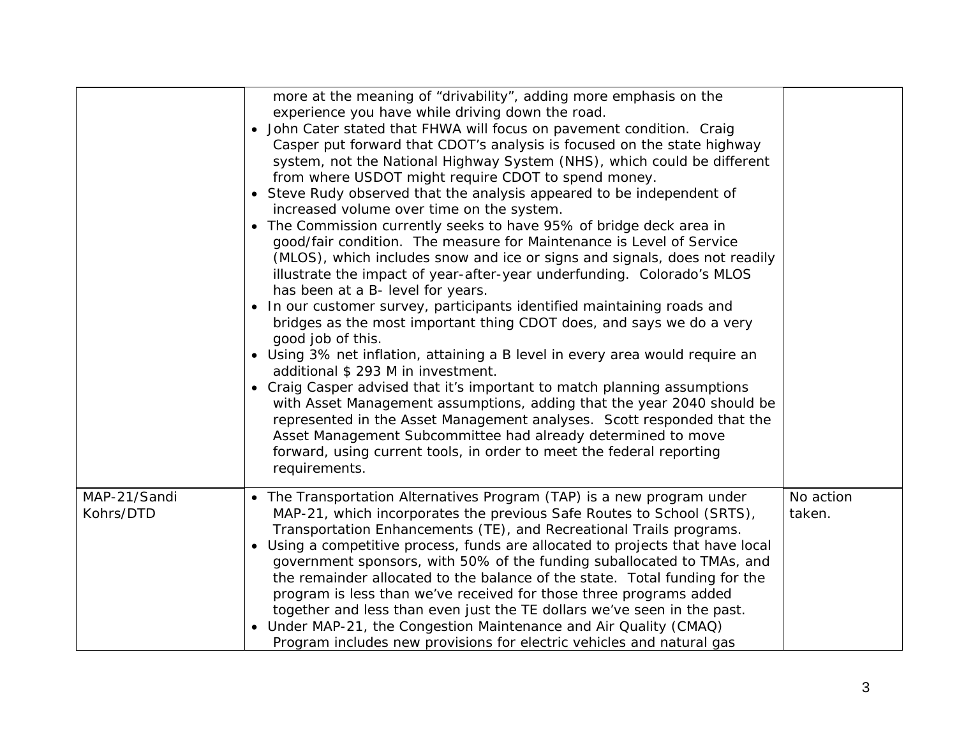|                           | more at the meaning of "drivability", adding more emphasis on the<br>experience you have while driving down the road.<br>John Cater stated that FHWA will focus on pavement condition. Craig<br>Casper put forward that CDOT's analysis is focused on the state highway<br>system, not the National Highway System (NHS), which could be different<br>from where USDOT might require CDOT to spend money.<br>• Steve Rudy observed that the analysis appeared to be independent of<br>increased volume over time on the system.<br>The Commission currently seeks to have 95% of bridge deck area in<br>good/fair condition. The measure for Maintenance is Level of Service<br>(MLOS), which includes snow and ice or signs and signals, does not readily<br>illustrate the impact of year-after-year underfunding. Colorado's MLOS<br>has been at a B- level for years.<br>In our customer survey, participants identified maintaining roads and<br>bridges as the most important thing CDOT does, and says we do a very<br>good job of this.<br>• Using 3% net inflation, attaining a B level in every area would require an<br>additional \$ 293 M in investment.<br>• Craig Casper advised that it's important to match planning assumptions<br>with Asset Management assumptions, adding that the year 2040 should be<br>represented in the Asset Management analyses. Scott responded that the<br>Asset Management Subcommittee had already determined to move<br>forward, using current tools, in order to meet the federal reporting<br>requirements. |                     |
|---------------------------|----------------------------------------------------------------------------------------------------------------------------------------------------------------------------------------------------------------------------------------------------------------------------------------------------------------------------------------------------------------------------------------------------------------------------------------------------------------------------------------------------------------------------------------------------------------------------------------------------------------------------------------------------------------------------------------------------------------------------------------------------------------------------------------------------------------------------------------------------------------------------------------------------------------------------------------------------------------------------------------------------------------------------------------------------------------------------------------------------------------------------------------------------------------------------------------------------------------------------------------------------------------------------------------------------------------------------------------------------------------------------------------------------------------------------------------------------------------------------------------------------------------------------------------------------------------|---------------------|
| MAP-21/Sandi<br>Kohrs/DTD | • The Transportation Alternatives Program (TAP) is a new program under<br>MAP-21, which incorporates the previous Safe Routes to School (SRTS),<br>Transportation Enhancements (TE), and Recreational Trails programs.<br>Using a competitive process, funds are allocated to projects that have local<br>government sponsors, with 50% of the funding suballocated to TMAs, and<br>the remainder allocated to the balance of the state. Total funding for the<br>program is less than we've received for those three programs added<br>together and less than even just the TE dollars we've seen in the past.<br>Under MAP-21, the Congestion Maintenance and Air Quality (CMAQ)<br>Program includes new provisions for electric vehicles and natural gas                                                                                                                                                                                                                                                                                                                                                                                                                                                                                                                                                                                                                                                                                                                                                                                                    | No action<br>taken. |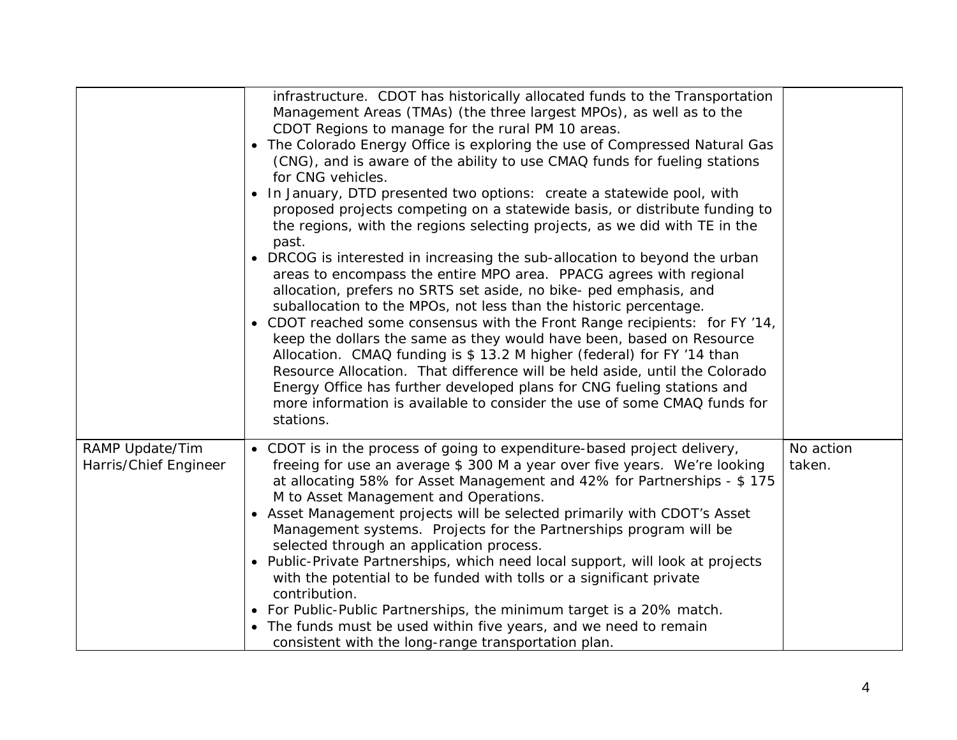|                                          | infrastructure. CDOT has historically allocated funds to the Transportation<br>Management Areas (TMAs) (the three largest MPOs), as well as to the<br>CDOT Regions to manage for the rural PM 10 areas.<br>The Colorado Energy Office is exploring the use of Compressed Natural Gas<br>(CNG), and is aware of the ability to use CMAQ funds for fueling stations<br>for CNG vehicles.<br>In January, DTD presented two options: create a statewide pool, with                                                                                                                                                                                                                                                                                                                                                                                                                                                                                  |                     |
|------------------------------------------|-------------------------------------------------------------------------------------------------------------------------------------------------------------------------------------------------------------------------------------------------------------------------------------------------------------------------------------------------------------------------------------------------------------------------------------------------------------------------------------------------------------------------------------------------------------------------------------------------------------------------------------------------------------------------------------------------------------------------------------------------------------------------------------------------------------------------------------------------------------------------------------------------------------------------------------------------|---------------------|
|                                          | proposed projects competing on a statewide basis, or distribute funding to<br>the regions, with the regions selecting projects, as we did with TE in the<br>past.<br>• DRCOG is interested in increasing the sub-allocation to beyond the urban<br>areas to encompass the entire MPO area. PPACG agrees with regional<br>allocation, prefers no SRTS set aside, no bike- ped emphasis, and<br>suballocation to the MPOs, not less than the historic percentage.<br>CDOT reached some consensus with the Front Range recipients: for FY '14,<br>keep the dollars the same as they would have been, based on Resource<br>Allocation. CMAQ funding is \$ 13.2 M higher (federal) for FY '14 than<br>Resource Allocation. That difference will be held aside, until the Colorado<br>Energy Office has further developed plans for CNG fueling stations and<br>more information is available to consider the use of some CMAQ funds for<br>stations. |                     |
| RAMP Update/Tim<br>Harris/Chief Engineer | • CDOT is in the process of going to expenditure-based project delivery,<br>freeing for use an average \$300 M a year over five years. We're looking<br>at allocating 58% for Asset Management and 42% for Partnerships - \$ 175<br>M to Asset Management and Operations.<br>• Asset Management projects will be selected primarily with CDOT's Asset<br>Management systems. Projects for the Partnerships program will be<br>selected through an application process.<br>Public-Private Partnerships, which need local support, will look at projects<br>with the potential to be funded with tolls or a significant private<br>contribution.<br>• For Public-Public Partnerships, the minimum target is a 20% match.<br>• The funds must be used within five years, and we need to remain<br>consistent with the long-range transportation plan.                                                                                              | No action<br>taken. |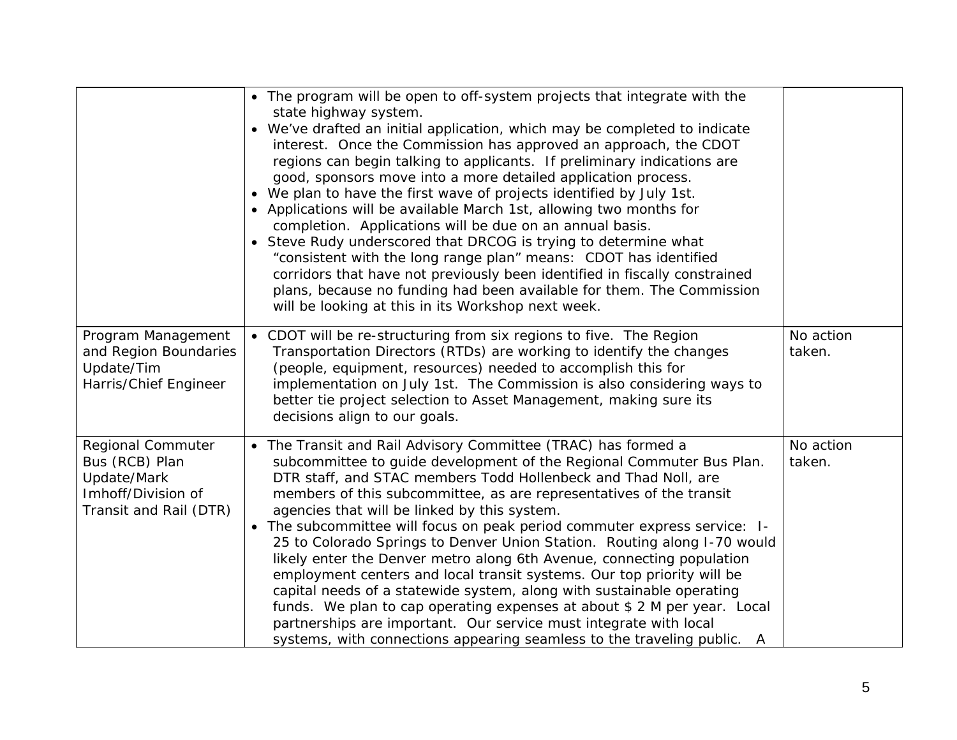|                                                                                                    | • The program will be open to off-system projects that integrate with the<br>state highway system.<br>We've drafted an initial application, which may be completed to indicate<br>interest. Once the Commission has approved an approach, the CDOT<br>regions can begin talking to applicants. If preliminary indications are<br>good, sponsors move into a more detailed application process.<br>• We plan to have the first wave of projects identified by July 1st.<br>• Applications will be available March 1st, allowing two months for<br>completion. Applications will be due on an annual basis.<br>• Steve Rudy underscored that DRCOG is trying to determine what<br>"consistent with the long range plan" means: CDOT has identified<br>corridors that have not previously been identified in fiscally constrained<br>plans, because no funding had been available for them. The Commission<br>will be looking at this in its Workshop next week. |                     |
|----------------------------------------------------------------------------------------------------|---------------------------------------------------------------------------------------------------------------------------------------------------------------------------------------------------------------------------------------------------------------------------------------------------------------------------------------------------------------------------------------------------------------------------------------------------------------------------------------------------------------------------------------------------------------------------------------------------------------------------------------------------------------------------------------------------------------------------------------------------------------------------------------------------------------------------------------------------------------------------------------------------------------------------------------------------------------|---------------------|
| Program Management<br>and Region Boundaries<br>Update/Tim<br>Harris/Chief Engineer                 | • CDOT will be re-structuring from six regions to five. The Region<br>Transportation Directors (RTDs) are working to identify the changes<br>(people, equipment, resources) needed to accomplish this for<br>implementation on July 1st. The Commission is also considering ways to<br>better tie project selection to Asset Management, making sure its<br>decisions align to our goals.                                                                                                                                                                                                                                                                                                                                                                                                                                                                                                                                                                     | No action<br>taken. |
| Regional Commuter<br>Bus (RCB) Plan<br>Update/Mark<br>Imhoff/Division of<br>Transit and Rail (DTR) | • The Transit and Rail Advisory Committee (TRAC) has formed a<br>subcommittee to guide development of the Regional Commuter Bus Plan.<br>DTR staff, and STAC members Todd Hollenbeck and Thad Noll, are<br>members of this subcommittee, as are representatives of the transit<br>agencies that will be linked by this system.<br>• The subcommittee will focus on peak period commuter express service: I-<br>25 to Colorado Springs to Denver Union Station. Routing along I-70 would<br>likely enter the Denver metro along 6th Avenue, connecting population<br>employment centers and local transit systems. Our top priority will be<br>capital needs of a statewide system, along with sustainable operating<br>funds. We plan to cap operating expenses at about \$ 2 M per year. Local<br>partnerships are important. Our service must integrate with local<br>systems, with connections appearing seamless to the traveling public.<br>A            | No action<br>taken. |